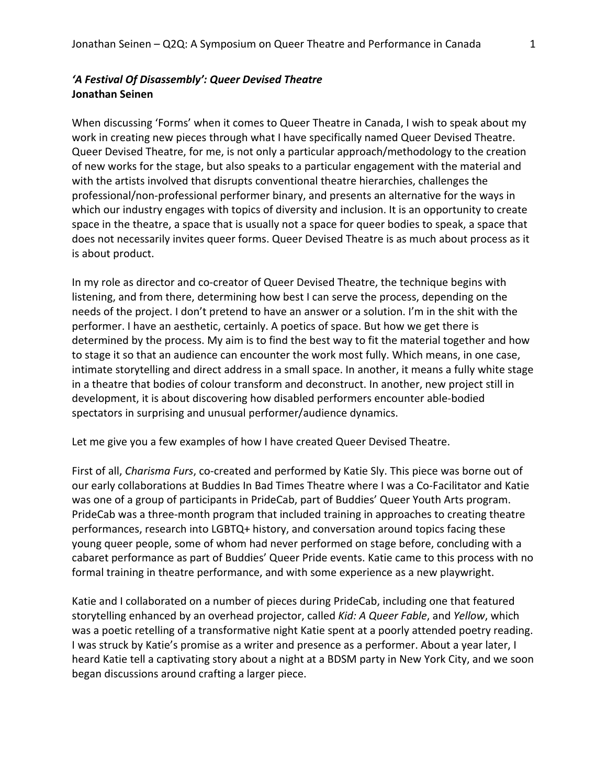## *'A Festival Of Disassembly': Queer Devised Theatre*  **Jonathan Seinen**

When discussing 'Forms' when it comes to Queer Theatre in Canada, I wish to speak about my work in creating new pieces through what I have specifically named Queer Devised Theatre. Queer Devised Theatre, for me, is not only a particular approach/methodology to the creation of new works for the stage, but also speaks to a particular engagement with the material and with the artists involved that disrupts conventional theatre hierarchies, challenges the professional/non-professional performer binary, and presents an alternative for the ways in which our industry engages with topics of diversity and inclusion. It is an opportunity to create space in the theatre, a space that is usually not a space for queer bodies to speak, a space that does not necessarily invites queer forms. Queer Devised Theatre is as much about process as it is about product.

In my role as director and co-creator of Queer Devised Theatre, the technique begins with listening, and from there, determining how best I can serve the process, depending on the needs of the project. I don't pretend to have an answer or a solution. I'm in the shit with the performer. I have an aesthetic, certainly. A poetics of space. But how we get there is determined by the process. My aim is to find the best way to fit the material together and how to stage it so that an audience can encounter the work most fully. Which means, in one case, intimate storytelling and direct address in a small space. In another, it means a fully white stage in a theatre that bodies of colour transform and deconstruct. In another, new project still in development, it is about discovering how disabled performers encounter able-bodied spectators in surprising and unusual performer/audience dynamics.

Let me give you a few examples of how I have created Queer Devised Theatre.

First of all, *Charisma Furs*, co-created and performed by Katie Sly. This piece was borne out of our early collaborations at Buddies In Bad Times Theatre where I was a Co-Facilitator and Katie was one of a group of participants in PrideCab, part of Buddies' Queer Youth Arts program. PrideCab was a three-month program that included training in approaches to creating theatre performances, research into LGBTQ+ history, and conversation around topics facing these young queer people, some of whom had never performed on stage before, concluding with a cabaret performance as part of Buddies' Queer Pride events. Katie came to this process with no formal training in theatre performance, and with some experience as a new playwright.

Katie and I collaborated on a number of pieces during PrideCab, including one that featured storytelling enhanced by an overhead projector, called *Kid: A Queer Fable*, and *Yellow*, which was a poetic retelling of a transformative night Katie spent at a poorly attended poetry reading. I was struck by Katie's promise as a writer and presence as a performer. About a year later, I heard Katie tell a captivating story about a night at a BDSM party in New York City, and we soon began discussions around crafting a larger piece.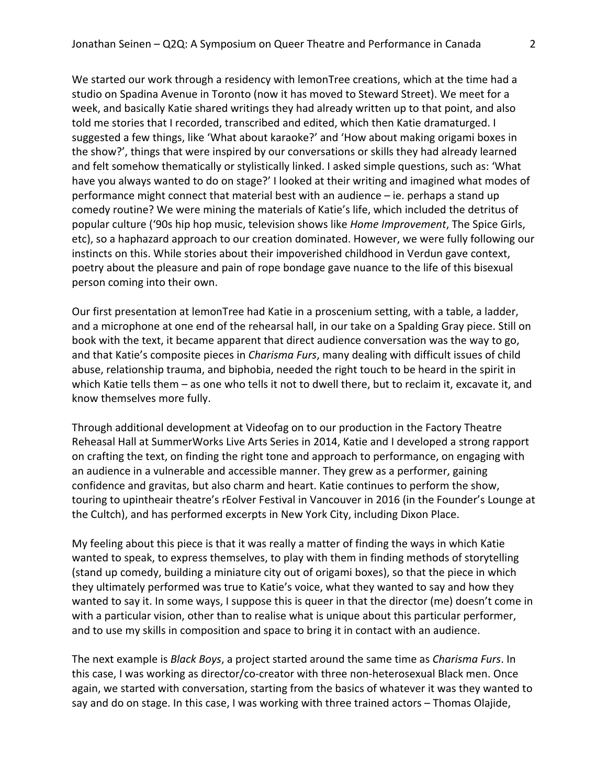We started our work through a residency with lemonTree creations, which at the time had a studio on Spadina Avenue in Toronto (now it has moved to Steward Street). We meet for a week, and basically Katie shared writings they had already written up to that point, and also told me stories that I recorded, transcribed and edited, which then Katie dramaturged. I suggested a few things, like 'What about karaoke?' and 'How about making origami boxes in the show?', things that were inspired by our conversations or skills they had already learned and felt somehow thematically or stylistically linked. I asked simple questions, such as: 'What have you always wanted to do on stage?' I looked at their writing and imagined what modes of performance might connect that material best with an audience  $-$  ie. perhaps a stand up comedy routine? We were mining the materials of Katie's life, which included the detritus of popular culture ('90s hip hop music, television shows like *Home Improvement*, The Spice Girls, etc), so a haphazard approach to our creation dominated. However, we were fully following our instincts on this. While stories about their impoverished childhood in Verdun gave context, poetry about the pleasure and pain of rope bondage gave nuance to the life of this bisexual person coming into their own.

Our first presentation at lemonTree had Katie in a proscenium setting, with a table, a ladder, and a microphone at one end of the rehearsal hall, in our take on a Spalding Gray piece. Still on book with the text, it became apparent that direct audience conversation was the way to go, and that Katie's composite pieces in *Charisma Furs*, many dealing with difficult issues of child abuse, relationship trauma, and biphobia, needed the right touch to be heard in the spirit in which Katie tells them – as one who tells it not to dwell there, but to reclaim it, excavate it, and know themselves more fully.

Through additional development at Videofag on to our production in the Factory Theatre Reheasal Hall at SummerWorks Live Arts Series in 2014, Katie and I developed a strong rapport on crafting the text, on finding the right tone and approach to performance, on engaging with an audience in a vulnerable and accessible manner. They grew as a performer, gaining confidence and gravitas, but also charm and heart. Katie continues to perform the show, touring to upintheair theatre's rEolver Festival in Vancouver in 2016 (in the Founder's Lounge at the Cultch), and has performed excerpts in New York City, including Dixon Place.

My feeling about this piece is that it was really a matter of finding the ways in which Katie wanted to speak, to express themselves, to play with them in finding methods of storytelling (stand up comedy, building a miniature city out of origami boxes), so that the piece in which they ultimately performed was true to Katie's voice, what they wanted to say and how they wanted to say it. In some ways, I suppose this is queer in that the director (me) doesn't come in with a particular vision, other than to realise what is unique about this particular performer, and to use my skills in composition and space to bring it in contact with an audience.

The next example is *Black Boys*, a project started around the same time as *Charisma Furs*. In this case, I was working as director/co-creator with three non-heterosexual Black men. Once again, we started with conversation, starting from the basics of whatever it was they wanted to say and do on stage. In this case, I was working with three trained actors – Thomas Olajide,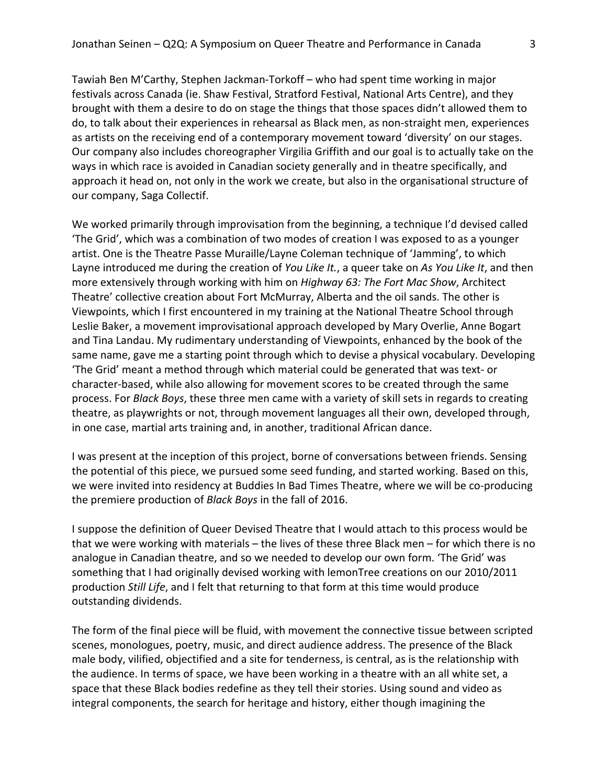Tawiah Ben M'Carthy, Stephen Jackman-Torkoff – who had spent time working in major festivals across Canada (ie. Shaw Festival, Stratford Festival, National Arts Centre), and they brought with them a desire to do on stage the things that those spaces didn't allowed them to do, to talk about their experiences in rehearsal as Black men, as non-straight men, experiences as artists on the receiving end of a contemporary movement toward 'diversity' on our stages. Our company also includes choreographer Virgilia Griffith and our goal is to actually take on the ways in which race is avoided in Canadian society generally and in theatre specifically, and approach it head on, not only in the work we create, but also in the organisational structure of our company, Saga Collectif.

We worked primarily through improvisation from the beginning, a technique I'd devised called 'The Grid', which was a combination of two modes of creation I was exposed to as a younger artist. One is the Theatre Passe Muraille/Layne Coleman technique of 'Jamming', to which Layne introduced me during the creation of *You Like It.*, a queer take on As You Like It, and then more extensively through working with him on *Highway 63: The Fort Mac Show*, Architect Theatre' collective creation about Fort McMurray, Alberta and the oil sands. The other is Viewpoints, which I first encountered in my training at the National Theatre School through Leslie Baker, a movement improvisational approach developed by Mary Overlie, Anne Bogart and Tina Landau. My rudimentary understanding of Viewpoints, enhanced by the book of the same name, gave me a starting point through which to devise a physical vocabulary. Developing 'The Grid' meant a method through which material could be generated that was text- or character-based, while also allowing for movement scores to be created through the same process. For *Black Boys*, these three men came with a variety of skill sets in regards to creating theatre, as playwrights or not, through movement languages all their own, developed through, in one case, martial arts training and, in another, traditional African dance.

I was present at the inception of this project, borne of conversations between friends. Sensing the potential of this piece, we pursued some seed funding, and started working. Based on this, we were invited into residency at Buddies In Bad Times Theatre, where we will be co-producing the premiere production of *Black Boys* in the fall of 2016.

I suppose the definition of Queer Devised Theatre that I would attach to this process would be that we were working with materials – the lives of these three Black men – for which there is no analogue in Canadian theatre, and so we needed to develop our own form. 'The Grid' was something that I had originally devised working with lemonTree creations on our 2010/2011 production *Still Life*, and I felt that returning to that form at this time would produce outstanding dividends.

The form of the final piece will be fluid, with movement the connective tissue between scripted scenes, monologues, poetry, music, and direct audience address. The presence of the Black male body, vilified, objectified and a site for tenderness, is central, as is the relationship with the audience. In terms of space, we have been working in a theatre with an all white set, a space that these Black bodies redefine as they tell their stories. Using sound and video as integral components, the search for heritage and history, either though imagining the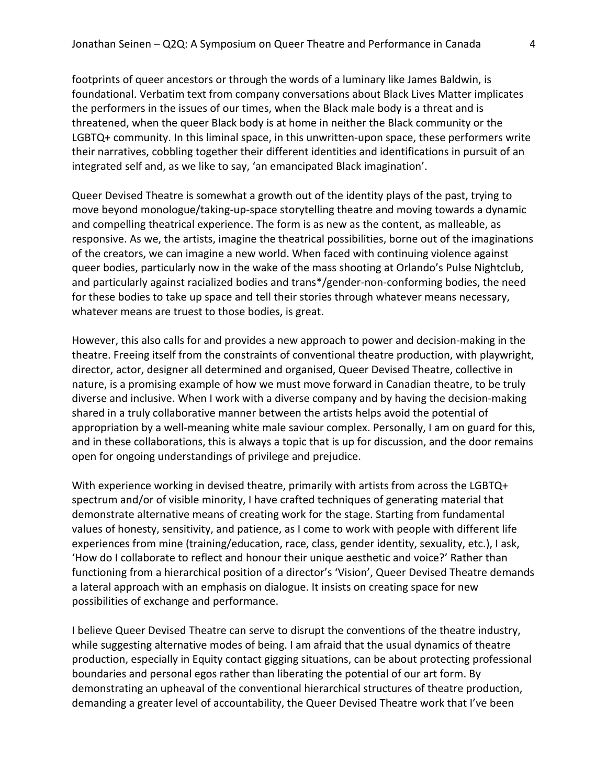footprints of queer ancestors or through the words of a luminary like James Baldwin, is foundational. Verbatim text from company conversations about Black Lives Matter implicates the performers in the issues of our times, when the Black male body is a threat and is threatened, when the queer Black body is at home in neither the Black community or the LGBTQ+ community. In this liminal space, in this unwritten-upon space, these performers write their narratives, cobbling together their different identities and identifications in pursuit of an integrated self and, as we like to say, 'an emancipated Black imagination'.

Queer Devised Theatre is somewhat a growth out of the identity plays of the past, trying to move beyond monologue/taking-up-space storytelling theatre and moving towards a dynamic and compelling theatrical experience. The form is as new as the content, as malleable, as responsive. As we, the artists, imagine the theatrical possibilities, borne out of the imaginations of the creators, we can imagine a new world. When faced with continuing violence against queer bodies, particularly now in the wake of the mass shooting at Orlando's Pulse Nightclub, and particularly against racialized bodies and trans\*/gender-non-conforming bodies, the need for these bodies to take up space and tell their stories through whatever means necessary, whatever means are truest to those bodies, is great.

However, this also calls for and provides a new approach to power and decision-making in the theatre. Freeing itself from the constraints of conventional theatre production, with playwright, director, actor, designer all determined and organised, Queer Devised Theatre, collective in nature, is a promising example of how we must move forward in Canadian theatre, to be truly diverse and inclusive. When I work with a diverse company and by having the decision-making shared in a truly collaborative manner between the artists helps avoid the potential of appropriation by a well-meaning white male saviour complex. Personally, I am on guard for this, and in these collaborations, this is always a topic that is up for discussion, and the door remains open for ongoing understandings of privilege and prejudice.

With experience working in devised theatre, primarily with artists from across the LGBTQ+ spectrum and/or of visible minority, I have crafted techniques of generating material that demonstrate alternative means of creating work for the stage. Starting from fundamental values of honesty, sensitivity, and patience, as I come to work with people with different life experiences from mine (training/education, race, class, gender identity, sexuality, etc.), I ask, How do I collaborate to reflect and honour their unique aesthetic and voice?' Rather than functioning from a hierarchical position of a director's 'Vision', Queer Devised Theatre demands a lateral approach with an emphasis on dialogue. It insists on creating space for new possibilities of exchange and performance.

I believe Queer Devised Theatre can serve to disrupt the conventions of the theatre industry, while suggesting alternative modes of being. I am afraid that the usual dynamics of theatre production, especially in Equity contact gigging situations, can be about protecting professional boundaries and personal egos rather than liberating the potential of our art form. By demonstrating an upheaval of the conventional hierarchical structures of theatre production, demanding a greater level of accountability, the Queer Devised Theatre work that I've been